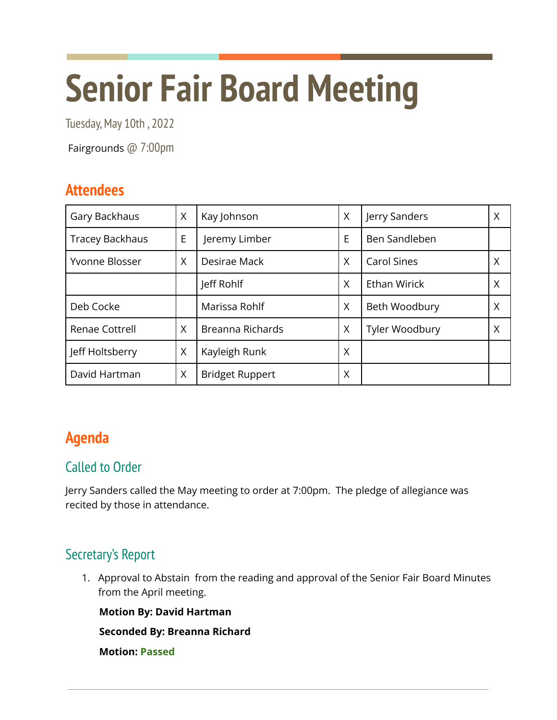# **Senior Fair Board Meeting**

Tuesday, May 10th, 2022

Fairgrounds @ 7:00pm

## **Attendees**

| Gary Backhaus          | X | Kay Johnson            | X | Jerry Sanders      | Χ |
|------------------------|---|------------------------|---|--------------------|---|
| <b>Tracey Backhaus</b> | E | Jeremy Limber          | E | Ben Sandleben      |   |
| Yvonne Blosser         | X | Desirae Mack           | X | <b>Carol Sines</b> | Χ |
|                        |   | Jeff Rohlf             | X | Ethan Wirick       |   |
| Deb Cocke              |   | Marissa Rohlf          | X | Beth Woodbury      | Χ |
| Renae Cottrell         | X | Breanna Richards       | X | Tyler Woodbury     | X |
| Jeff Holtsberry        | X | Kayleigh Runk          | X |                    |   |
| David Hartman          | X | <b>Bridget Ruppert</b> | Χ |                    |   |

## **Agenda**

#### Called to Order

Jerry Sanders called the May meeting to order at 7:00pm. The pledge of allegiance was recited by those in attendance.

#### Secretary's Report

1. Approval to Abstain from the reading and approval of the Senior Fair Board Minutes from the April meeting.

**Motion By: David Hartman**

**Seconded By: Breanna Richard**

**Motion: Passed**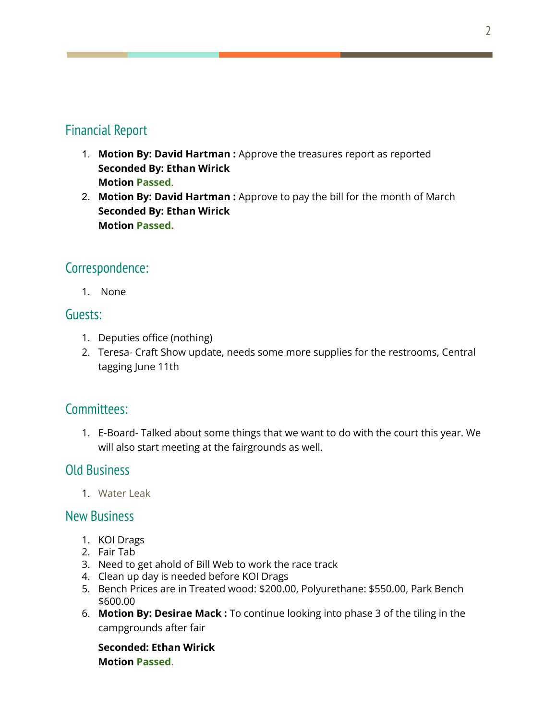#### Financial Report

- 1. **Motion By: David Hartman :** Approve the treasures report as reported **Seconded By: Ethan Wirick Motion Passed**.
- 2. **Motion By: David Hartman :** Approve to pay the bill for the month of March **Seconded By: Ethan Wirick Motion Passed.**

#### Correspondence:

1. None

#### Guests:

- 1. Deputies office (nothing)
- 2. Teresa- Craft Show update, needs some more supplies for the restrooms, Central tagging June 11th

#### Committees:

1. E-Board- Talked about some things that we want to do with the court this year. We will also start meeting at the fairgrounds as well.

#### Old Business

1. Water Leak

#### New Business

- 1. KOI Drags
- 2. Fair Tab
- 3. Need to get ahold of Bill Web to work the race track
- 4. Clean up day is needed before KOI Drags
- 5. Bench Prices are in Treated wood: \$200.00, Polyurethane: \$550.00, Park Bench \$600.00
- 6. **Motion By: Desirae Mack :** To continue looking into phase 3 of the tiling in the campgrounds after fair

**Seconded: Ethan Wirick Motion Passed**.